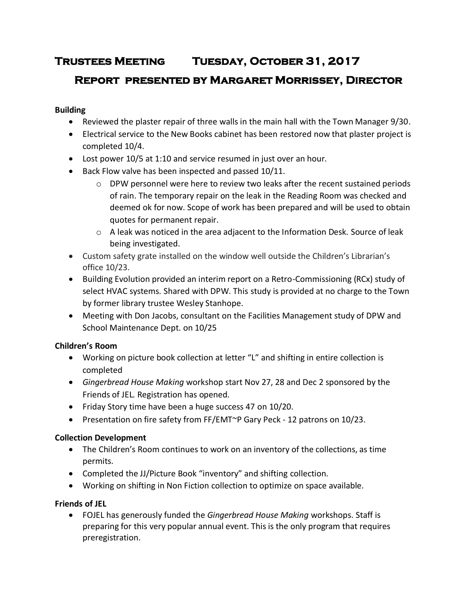# **Trustees Meeting Tuesday, October 31, 2017**

# **Report presented by Margaret Morrissey, Director**

## **Building**

- Reviewed the plaster repair of three walls in the main hall with the Town Manager 9/30.
- Electrical service to the New Books cabinet has been restored now that plaster project is completed 10/4.
- Lost power 10/5 at 1:10 and service resumed in just over an hour.
- Back Flow valve has been inspected and passed 10/11.
	- $\circ$  DPW personnel were here to review two leaks after the recent sustained periods of rain. The temporary repair on the leak in the Reading Room was checked and deemed ok for now. Scope of work has been prepared and will be used to obtain quotes for permanent repair.
	- $\circ$  A leak was noticed in the area adjacent to the Information Desk. Source of leak being investigated.
- Custom safety grate installed on the window well outside the Children's Librarian's office 10/23.
- Building Evolution provided an interim report on a Retro-Commissioning (RCx) study of select HVAC systems. Shared with DPW. This study is provided at no charge to the Town by former library trustee Wesley Stanhope.
- Meeting with Don Jacobs, consultant on the Facilities Management study of DPW and School Maintenance Dept. on 10/25

# **Children's Room**

- Working on picture book collection at letter "L" and shifting in entire collection is completed
- *Gingerbread House Making* workshop start Nov 27, 28 and Dec 2 sponsored by the Friends of JEL. Registration has opened.
- Friday Story time have been a huge success 47 on 10/20.
- Presentation on fire safety from FF/EMT~P Gary Peck 12 patrons on 10/23.

# **Collection Development**

- The Children's Room continues to work on an inventory of the collections, as time permits.
- Completed the JJ/Picture Book "inventory" and shifting collection.
- Working on shifting in Non Fiction collection to optimize on space available.

# **Friends of JEL**

 FOJEL has generously funded the *Gingerbread House Making* workshops. Staff is preparing for this very popular annual event. This is the only program that requires preregistration.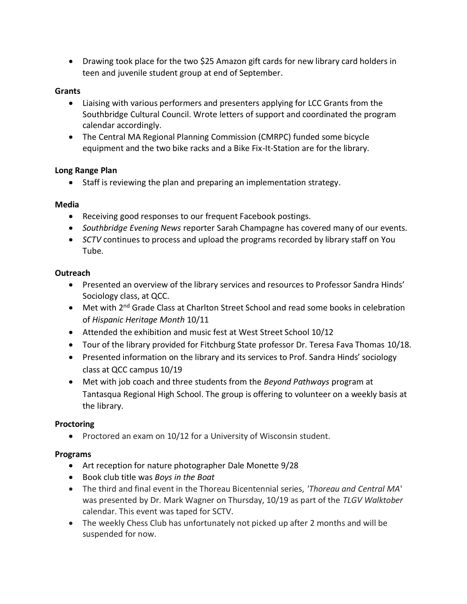• Drawing took place for the two \$25 Amazon gift cards for new library card holders in teen and juvenile student group at end of September.

### **Grants**

- Liaising with various performers and presenters applying for LCC Grants from the Southbridge Cultural Council. Wrote letters of support and coordinated the program calendar accordingly.
- The Central MA Regional Planning Commission (CMRPC) funded some bicycle equipment and the two bike racks and a Bike Fix-It-Station are for the library.

#### **Long Range Plan**

Staff is reviewing the plan and preparing an implementation strategy.

#### **Media**

- Receiving good responses to our frequent Facebook postings.
- *Southbridge Evening News* reporter Sarah Champagne has covered many of our events.
- *SCTV* continues to process and upload the programs recorded by library staff on You Tube.

## **Outreach**

- Presented an overview of the library services and resources to Professor Sandra Hinds' Sociology class, at QCC.
- Met with 2<sup>nd</sup> Grade Class at Charlton Street School and read some books in celebration of *Hispanic Heritage Month* 10/11
- Attended the exhibition and music fest at West Street School 10/12
- Tour of the library provided for Fitchburg State professor Dr. Teresa Fava Thomas 10/18.
- Presented information on the library and its services to Prof. Sandra Hinds' sociology class at QCC campus 10/19
- Met with job coach and three students from the *Beyond Pathways* program at Tantasqua Regional High School. The group is offering to volunteer on a weekly basis at the library.

## **Proctoring**

• Proctored an exam on 10/12 for a University of Wisconsin student.

#### **Programs**

- Art reception for nature photographer Dale Monette 9/28
- Book club title was *Boys in the Boat*
- The third and final event in the Thoreau Bicentennial series, *'Thoreau and Central MA*' was presented by Dr. Mark Wagner on Thursday, 10/19 as part of the *TLGV Walktober* calendar. This event was taped for SCTV.
- The weekly Chess Club has unfortunately not picked up after 2 months and will be suspended for now.